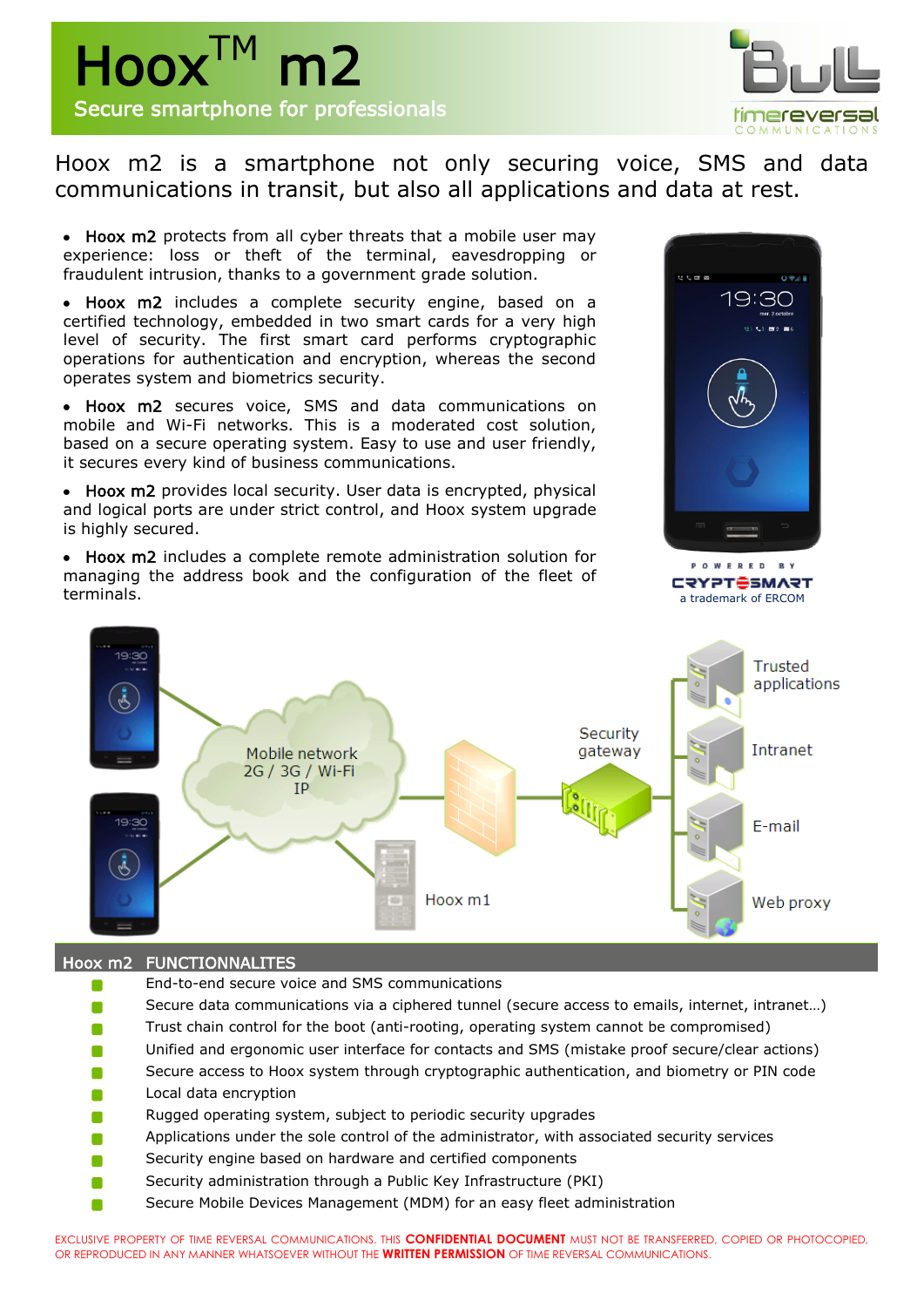



Hoox m2 is a smartphone not only securing voice, SMS and data communications in transit, but also all applications and data at rest.

• Hoox m2 protects from all cyber threats that a mobile user may experience: loss or theft of the terminal, eavesdropping or fraudulent intrusion, thanks to a government grade solution.

• Hoox m2 includes a complete security engine, based on a certified technology, embedded in two smart cards for a very high level of security. The first smart card performs cryptographic operations for authentication and encryption, whereas the second operates system and biometrics security.

Hoox m2 secures voice, SMS and data communications on mobile and Wi-Fi networks. This is a moderated cost solution, based on a secure operating system. Easy to use and user friendly, it secures every kind of business communications.

• Hoox m2 provides local security. User data is encrypted, physical and logical ports are under strict control, and Hoox system upgrade is highly secured.

• Hoox m2 includes a complete remote administration solution for managing the address book and the configuration of the fleet of terminals.







#### Hoox m2 FUNCTIONNALITES

- End-to-end secure voice and SMS communications  $\Box$
- Secure data communications via a ciphered tunnel (secure access to emails, internet, intranet…)
- Trust chain control for the boot (anti-rooting, operating system cannot be compromised)
- Unified and ergonomic user interface for contacts and SMS (mistake proof secure/clear actions)
- Secure access to Hoox system through cryptographic authentication, and biometry or PIN code Г
- Local data encryption Г
- Rugged operating system, subject to periodic security upgrades
- Applications under the sole control of the administrator, with associated security services Г
- Security engine based on hardware and certified components Г
- Security administration through a Public Key Infrastructure (PKI) Г
- Secure Mobile Devices Management (MDM) for an easy fleet administration  $\Box$

EXCLUSIVE PROPERTY OF TIME REVERSAL COMMUNICATIONS. THIS **CONFIDENTIAL DOCUMENT** MUST NOT BE TRANSFERRED, COPIED OR PHOTOCOPIED, OR REPRODUCED IN ANY MANNER WHATSOEVER WITHOUT THE **WRITTEN PERMISSION** OF TIME REVERSAL COMMUNICATIONS.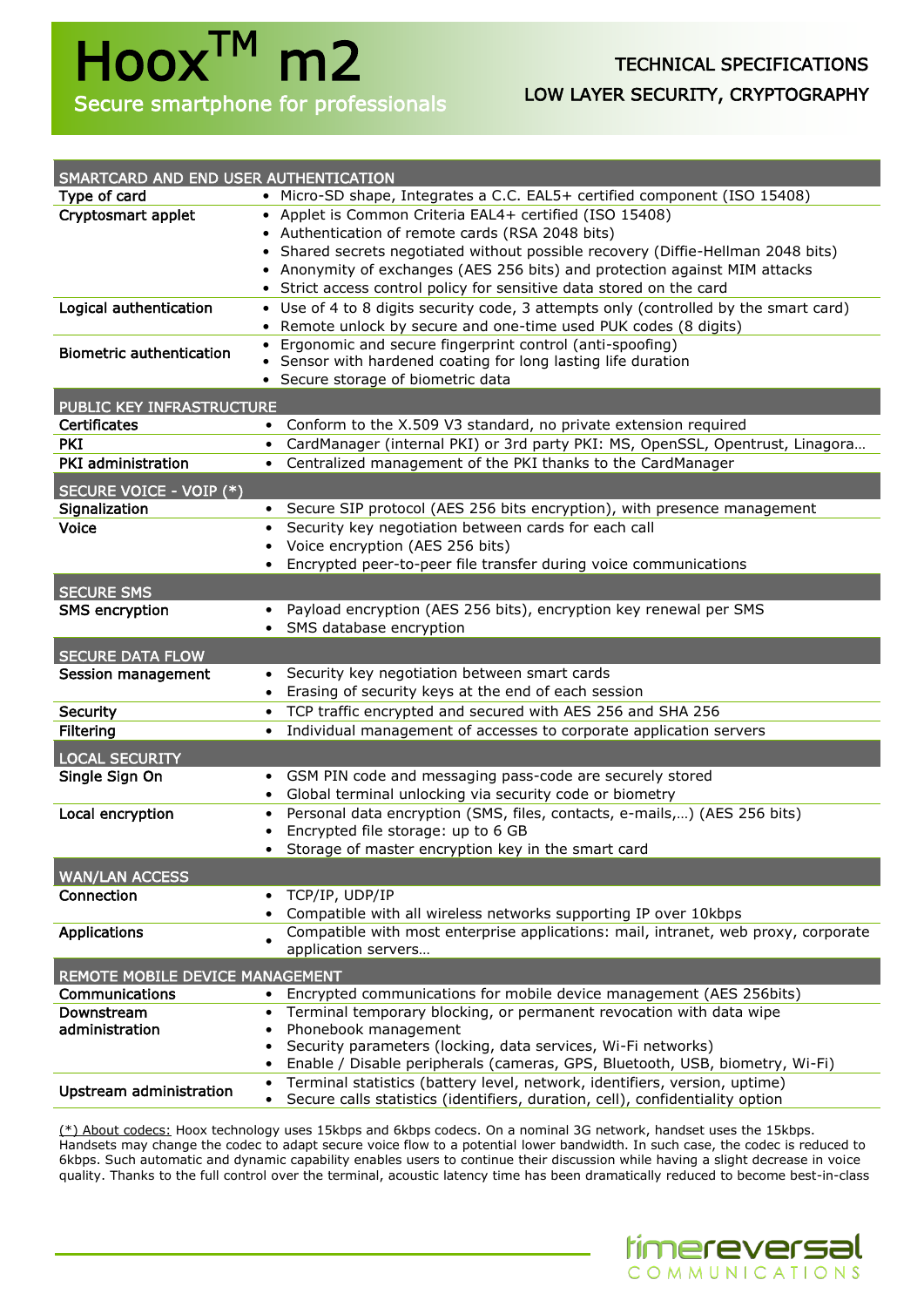# Hoox<sup>TM</sup> m2 Secure smartphone for professionals

| SMARTCARD AND END USER AUTHENTICATION |                                                                                         |  |
|---------------------------------------|-----------------------------------------------------------------------------------------|--|
| Type of card                          | • Micro-SD shape, Integrates a C.C. EAL5+ certified component (ISO 15408)               |  |
| Cryptosmart applet                    | • Applet is Common Criteria EAL4+ certified (ISO 15408)                                 |  |
|                                       | • Authentication of remote cards (RSA 2048 bits)                                        |  |
|                                       | • Shared secrets negotiated without possible recovery (Diffie-Hellman 2048 bits)        |  |
|                                       | • Anonymity of exchanges (AES 256 bits) and protection against MIM attacks              |  |
|                                       | • Strict access control policy for sensitive data stored on the card                    |  |
| Logical authentication                | • Use of 4 to 8 digits security code, 3 attempts only (controlled by the smart card)    |  |
|                                       | • Remote unlock by secure and one-time used PUK codes (8 digits)                        |  |
| <b>Biometric authentication</b>       | Ergonomic and secure fingerprint control (anti-spoofing)                                |  |
|                                       | • Sensor with hardened coating for long lasting life duration                           |  |
|                                       | • Secure storage of biometric data                                                      |  |
| PUBLIC KEY INFRASTRUCTURE             |                                                                                         |  |
| Certificates                          | • Conform to the X.509 V3 standard, no private extension required                       |  |
| <b>PKI</b>                            | • CardManager (internal PKI) or 3rd party PKI: MS, OpenSSL, Opentrust, Linagora         |  |
| <b>PKI</b> administration             | • Centralized management of the PKI thanks to the CardManager                           |  |
| SECURE VOICE - VOIP (*)               |                                                                                         |  |
| Signalization                         | Secure SIP protocol (AES 256 bits encryption), with presence management<br>$\bullet$    |  |
| Voice                                 | Security key negotiation between cards for each call<br>$\bullet$                       |  |
|                                       | Voice encryption (AES 256 bits)<br>٠                                                    |  |
|                                       | Encrypted peer-to-peer file transfer during voice communications<br>$\bullet$           |  |
|                                       |                                                                                         |  |
| <b>SECURE SMS</b>                     | Payload encryption (AES 256 bits), encryption key renewal per SMS                       |  |
| <b>SMS encryption</b>                 | $\bullet$<br>• SMS database encryption                                                  |  |
|                                       |                                                                                         |  |
| <b>SECURE DATA FLOW</b>               |                                                                                         |  |
| Session management                    | Security key negotiation between smart cards<br>$\bullet$                               |  |
|                                       | Erasing of security keys at the end of each session<br>$\bullet$                        |  |
| Security                              | TCP traffic encrypted and secured with AES 256 and SHA 256<br>$\bullet$                 |  |
| <b>Filtering</b>                      | Individual management of accesses to corporate application servers<br>$\bullet$         |  |
| <b>LOCAL SECURITY</b>                 |                                                                                         |  |
| Single Sign On                        | GSM PIN code and messaging pass-code are securely stored<br>$\bullet$                   |  |
|                                       | Global terminal unlocking via security code or biometry<br>$\bullet$                    |  |
| Local encryption                      | Personal data encryption (SMS, files, contacts, e-mails,) (AES 256 bits)<br>$\bullet$   |  |
|                                       | Encrypted file storage: up to 6 GB                                                      |  |
|                                       | Storage of master encryption key in the smart card<br>٠                                 |  |
| <b>WAN/LAN ACCESS</b>                 |                                                                                         |  |
| Connection                            | TCP/IP, UDP/IP<br>٠                                                                     |  |
|                                       | Compatible with all wireless networks supporting IP over 10kbps                         |  |
| <b>Applications</b>                   | Compatible with most enterprise applications: mail, intranet, web proxy, corporate      |  |
|                                       | application servers                                                                     |  |
| REMOTE MOBILE DEVICE MANAGEMENT       |                                                                                         |  |
| Communications                        | Encrypted communications for mobile device management (AES 256bits)<br>$\bullet$        |  |
| Downstream                            | Terminal temporary blocking, or permanent revocation with data wipe<br>$\bullet$        |  |
| administration                        | Phonebook management<br>$\bullet$                                                       |  |
|                                       | Security parameters (locking, data services, Wi-Fi networks)<br>$\bullet$               |  |
|                                       | Enable / Disable peripherals (cameras, GPS, Bluetooth, USB, biometry, Wi-Fi)<br>٠       |  |
| Upstream administration               | Terminal statistics (battery level, network, identifiers, version, uptime)<br>$\bullet$ |  |
|                                       | Secure calls statistics (identifiers, duration, cell), confidentiality option           |  |

(\*) About codecs: Hoox technology uses 15kbps and 6kbps codecs. On a nominal 3G network, handset uses the 15kbps. Handsets may change the codec to adapt secure voice flow to a potential lower bandwidth. In such case, the codec is reduced to 6kbps. Such automatic and dynamic capability enables users to continue their discussion while having a slight decrease in voice quality. Thanks to the full control over the terminal, acoustic latency time has been dramatically reduced to become best-in-class

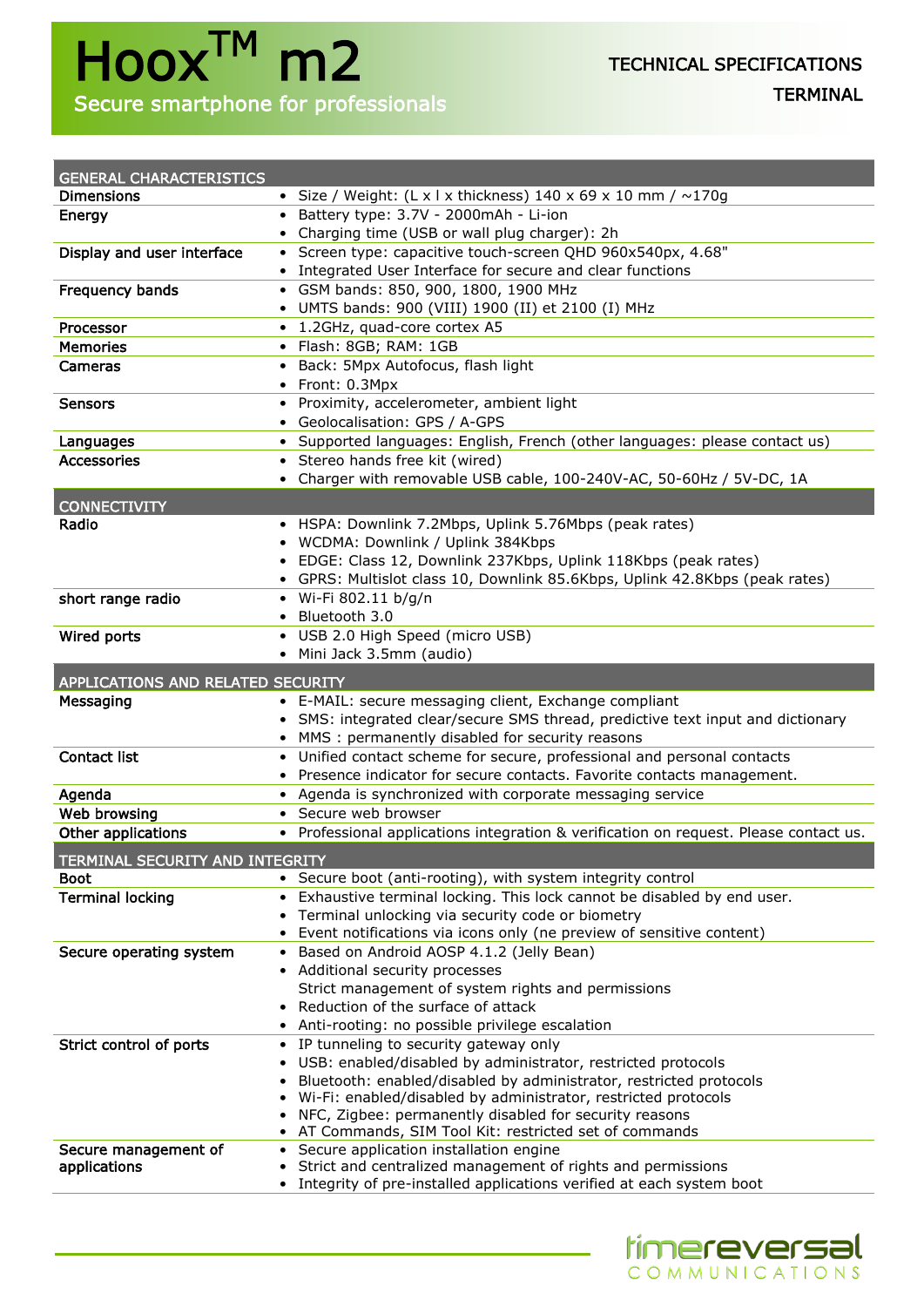## GENERAL CHARACTERISTICS

| <b>ULIVERAL CHARACTERISTICS</b>   |                                                                                       |
|-----------------------------------|---------------------------------------------------------------------------------------|
| <b>Dimensions</b>                 | • Size / Weight: $(L \times l \times$ thickness) 140 x 69 x 10 mm / $\sim$ 170g       |
| Energy                            | • Battery type: 3.7V - 2000mAh - Li-ion                                               |
|                                   | • Charging time (USB or wall plug charger): 2h                                        |
| Display and user interface        | • Screen type: capacitive touch-screen QHD 960x540px, 4.68"                           |
|                                   | • Integrated User Interface for secure and clear functions                            |
| Frequency bands                   | • GSM bands: 850, 900, 1800, 1900 MHz                                                 |
|                                   | • UMTS bands: 900 (VIII) 1900 (II) et 2100 (I) MHz                                    |
| Processor                         | • 1.2GHz, quad-core cortex A5                                                         |
| <b>Memories</b>                   | • Flash: 8GB; RAM: 1GB                                                                |
| Cameras                           | • Back: 5Mpx Autofocus, flash light                                                   |
|                                   | • Front: 0.3Mpx                                                                       |
| <b>Sensors</b>                    | • Proximity, accelerometer, ambient light                                             |
|                                   | • Geolocalisation: GPS / A-GPS                                                        |
| Languages                         | • Supported languages: English, French (other languages: please contact us)           |
| <b>Accessories</b>                | • Stereo hands free kit (wired)                                                       |
|                                   | • Charger with removable USB cable, 100-240V-AC, 50-60Hz / 5V-DC, 1A                  |
|                                   |                                                                                       |
| <b>CONNECTIVITY</b>               |                                                                                       |
| Radio                             | • HSPA: Downlink 7.2Mbps, Uplink 5.76Mbps (peak rates)                                |
|                                   | • WCDMA: Downlink / Uplink 384Kbps                                                    |
|                                   | • EDGE: Class 12, Downlink 237Kbps, Uplink 118Kbps (peak rates)                       |
|                                   | • GPRS: Multislot class 10, Downlink 85.6Kbps, Uplink 42.8Kbps (peak rates)           |
| short range radio                 | • Wi-Fi 802.11 $b/q/n$                                                                |
|                                   | • Bluetooth 3.0                                                                       |
| Wired ports                       | • USB 2.0 High Speed (micro USB)                                                      |
|                                   | • Mini Jack 3.5mm (audio)                                                             |
| APPLICATIONS AND RELATED SECURITY |                                                                                       |
| Messaging                         | • E-MAIL: secure messaging client, Exchange compliant                                 |
|                                   | • SMS: integrated clear/secure SMS thread, predictive text input and dictionary       |
|                                   | • MMS : permanently disabled for security reasons                                     |
| <b>Contact list</b>               | • Unified contact scheme for secure, professional and personal contacts               |
|                                   | • Presence indicator for secure contacts. Favorite contacts management.               |
|                                   |                                                                                       |
| Agenda                            | • Agenda is synchronized with corporate messaging service                             |
| Web browsing                      | • Secure web browser                                                                  |
| Other applications                | • Professional applications integration & verification on request. Please contact us. |
| TERMINAL SECURITY AND INTEGRITY   |                                                                                       |
| Boot                              | Secure boot (anti-rooting), with system integrity control                             |
| <b>Terminal locking</b>           | Exhaustive terminal locking. This lock cannot be disabled by end user.<br>٠           |
|                                   | Terminal unlocking via security code or biometry                                      |
|                                   | Event notifications via icons only (ne preview of sensitive content)                  |
| Secure operating system           | Based on Android AOSP 4.1.2 (Jelly Bean)                                              |
|                                   | • Additional security processes                                                       |
|                                   | Strict management of system rights and permissions                                    |
|                                   | Reduction of the surface of attack                                                    |
|                                   | Anti-rooting: no possible privilege escalation                                        |
| Strict control of ports           | • IP tunneling to security gateway only                                               |
|                                   | USB: enabled/disabled by administrator, restricted protocols                          |
|                                   | Bluetooth: enabled/disabled by administrator, restricted protocols                    |
|                                   | Wi-Fi: enabled/disabled by administrator, restricted protocols                        |
|                                   | NFC, Zigbee: permanently disabled for security reasons                                |
|                                   | AT Commands, SIM Tool Kit: restricted set of commands                                 |
| Secure management of              | • Secure application installation engine                                              |
| applications                      | Strict and centralized management of rights and permissions                           |
|                                   | • Integrity of pre-installed applications verified at each system boot                |
|                                   |                                                                                       |